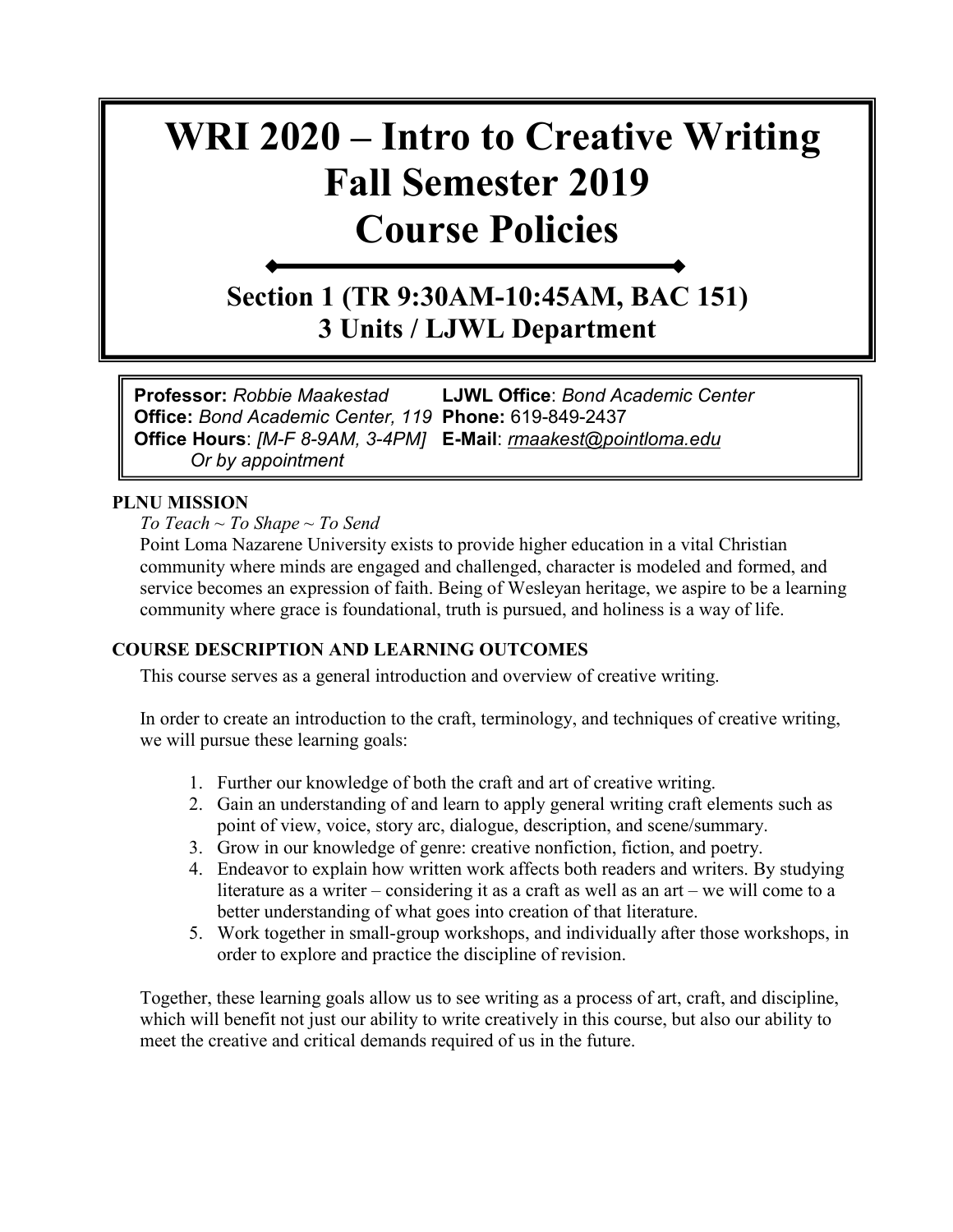# **WRI 2020 – Intro to Creative Writing Fall Semester 2019 Course Policies**

**Section 1 (TR 9:30AM-10:45AM, BAC 151) 3 Units / LJWL Department**

**Professor:** *Robbie Maakestad* **LJWL Office**: *Bond Academic Center*  **Office:** *Bond Academic Center, 119* **Phone:** 619-849-2437 **Office Hours**: *[M-F 8-9AM, 3-4PM]* **E-Mail**: *[rmaakest@pointloma.edu](mailto:rmaakest@pointloma.edu) Or by appointment*

## **PLNU MISSION**

*To Teach ~ To Shape ~ To Send* 

Point Loma Nazarene University exists to provide higher education in a vital Christian community where minds are engaged and challenged, character is modeled and formed, and service becomes an expression of faith. Being of Wesleyan heritage, we aspire to be a learning community where grace is foundational, truth is pursued, and holiness is a way of life.

## **COURSE DESCRIPTION AND LEARNING OUTCOMES**

This course serves as a general introduction and overview of creative writing.

In order to create an introduction to the craft, terminology, and techniques of creative writing, we will pursue these learning goals:

- 1. Further our knowledge of both the craft and art of creative writing.
- 2. Gain an understanding of and learn to apply general writing craft elements such as point of view, voice, story arc, dialogue, description, and scene/summary.
- 3. Grow in our knowledge of genre: creative nonfiction, fiction, and poetry.
- 4. Endeavor to explain how written work affects both readers and writers. By studying literature as a writer – considering it as a craft as well as an art – we will come to a better understanding of what goes into creation of that literature.
- 5. Work together in small-group workshops, and individually after those workshops, in order to explore and practice the discipline of revision.

Together, these learning goals allow us to see writing as a process of art, craft, and discipline, which will benefit not just our ability to write creatively in this course, but also our ability to meet the creative and critical demands required of us in the future.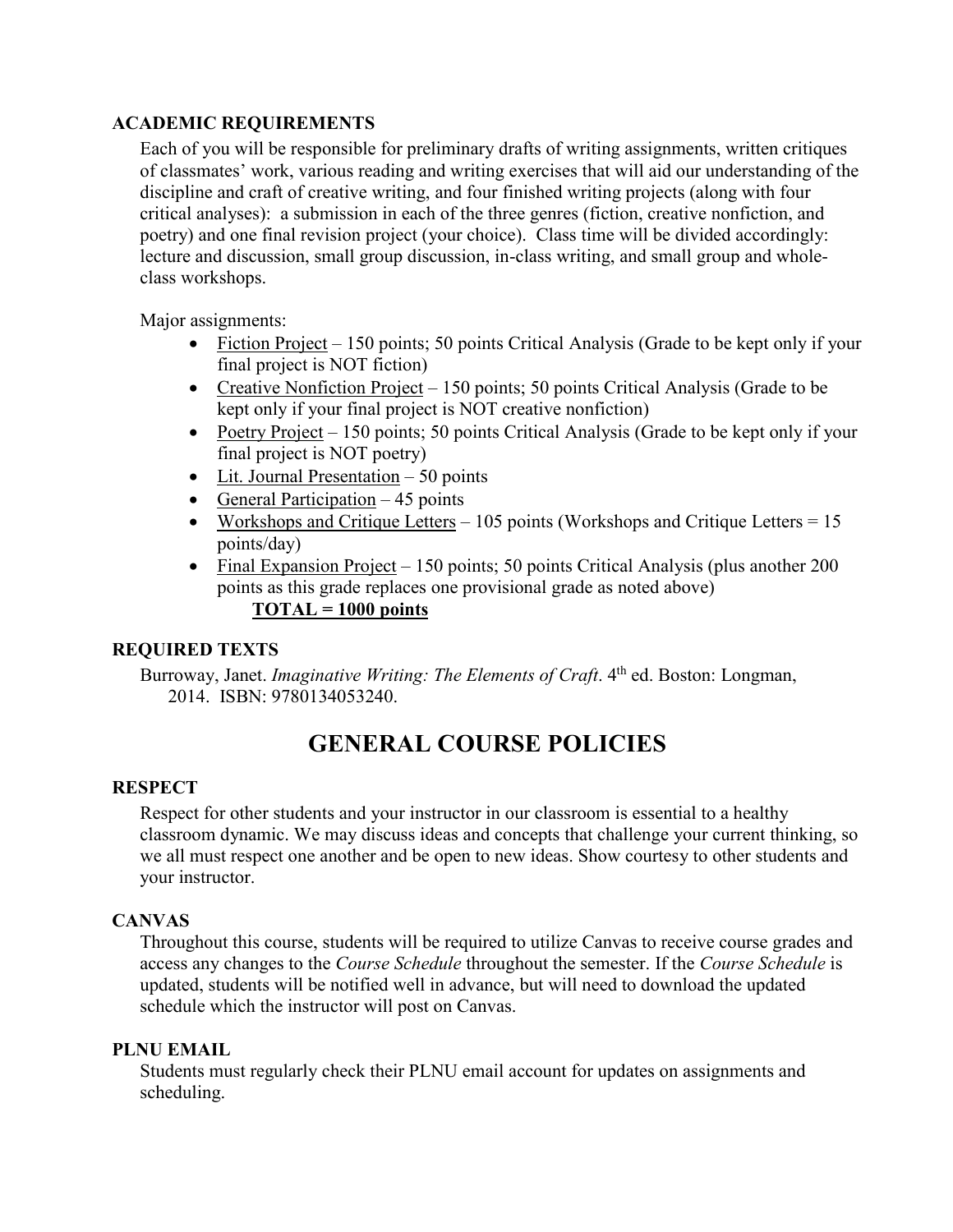## **ACADEMIC REQUIREMENTS**

Each of you will be responsible for preliminary drafts of writing assignments, written critiques of classmates' work, various reading and writing exercises that will aid our understanding of the discipline and craft of creative writing, and four finished writing projects (along with four critical analyses): a submission in each of the three genres (fiction, creative nonfiction, and poetry) and one final revision project (your choice). Class time will be divided accordingly: lecture and discussion, small group discussion, in-class writing, and small group and wholeclass workshops.

Major assignments:

- Fiction Project 150 points; 50 points Critical Analysis (Grade to be kept only if your final project is NOT fiction)
- Creative Nonfiction Project 150 points; 50 points Critical Analysis (Grade to be kept only if your final project is NOT creative nonfiction)
- Poetry Project 150 points; 50 points Critical Analysis (Grade to be kept only if your final project is NOT poetry)
- Lit. Journal Presentation 50 points
- General Participation  $-45$  points
- Workshops and Critique Letters 105 points (Workshops and Critique Letters =  $15$ ) points/day)
- Final Expansion Project 150 points; 50 points Critical Analysis (plus another 200 points as this grade replaces one provisional grade as noted above)

## **TOTAL = 1000 points**

## **REQUIRED TEXTS**

Burroway, Janet. *Imaginative Writing: The Elements of Craft*. 4<sup>th</sup> ed. Boston: Longman, 2014. ISBN: 9780134053240.

## **GENERAL COURSE POLICIES**

## **RESPECT**

Respect for other students and your instructor in our classroom is essential to a healthy classroom dynamic. We may discuss ideas and concepts that challenge your current thinking, so we all must respect one another and be open to new ideas. Show courtesy to other students and your instructor.

## **CANVAS**

Throughout this course, students will be required to utilize Canvas to receive course grades and access any changes to the *Course Schedule* throughout the semester. If the *Course Schedule* is updated, students will be notified well in advance, but will need to download the updated schedule which the instructor will post on Canvas.

## **PLNU EMAIL**

Students must regularly check their PLNU email account for updates on assignments and scheduling.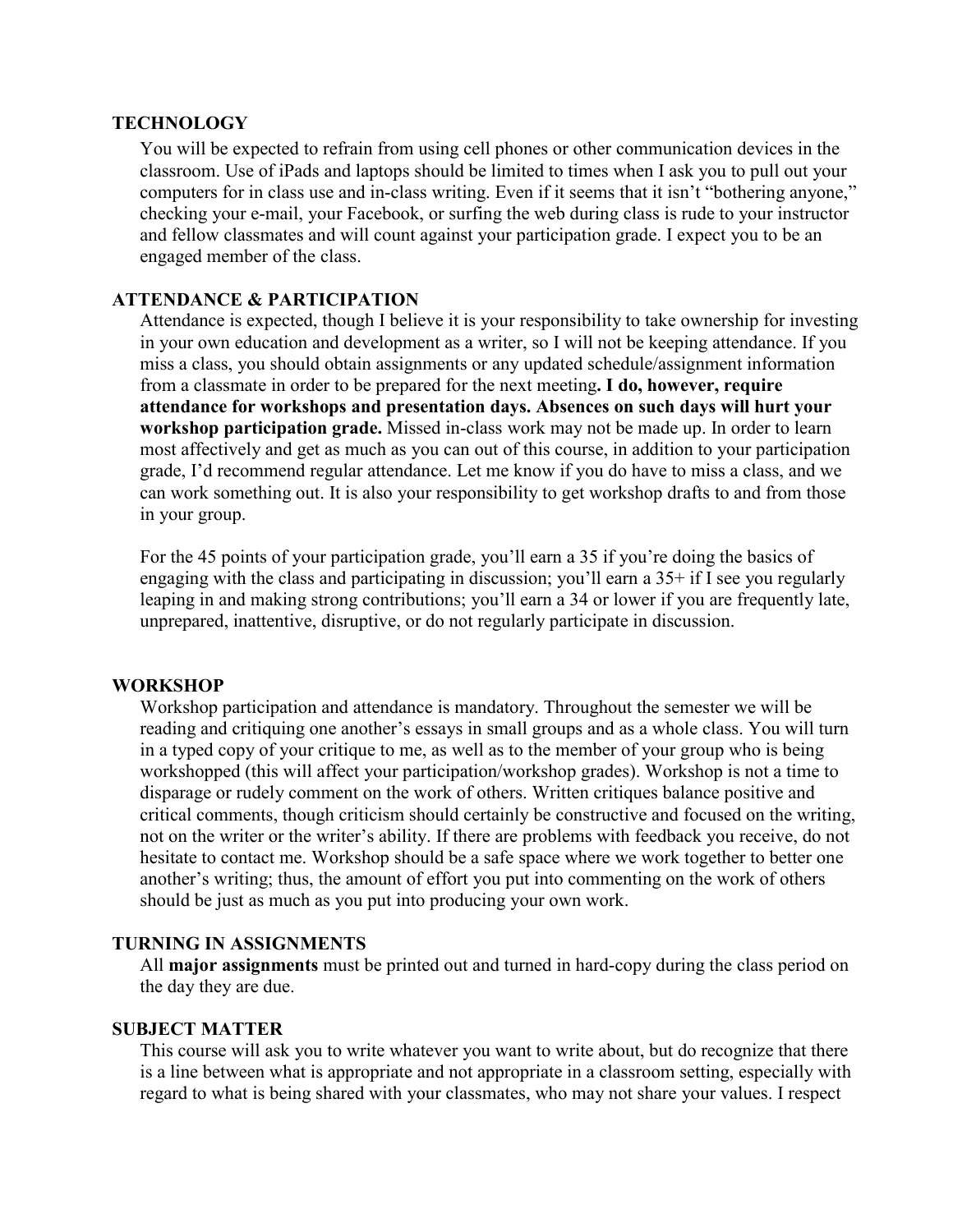#### **TECHNOLOGY**

You will be expected to refrain from using cell phones or other communication devices in the classroom. Use of iPads and laptops should be limited to times when I ask you to pull out your computers for in class use and in-class writing. Even if it seems that it isn't "bothering anyone," checking your e-mail, your Facebook, or surfing the web during class is rude to your instructor and fellow classmates and will count against your participation grade. I expect you to be an engaged member of the class.

## **ATTENDANCE & PARTICIPATION**

Attendance is expected, though I believe it is your responsibility to take ownership for investing in your own education and development as a writer, so I will not be keeping attendance. If you miss a class, you should obtain assignments or any updated schedule/assignment information from a classmate in order to be prepared for the next meeting**. I do, however, require attendance for workshops and presentation days. Absences on such days will hurt your workshop participation grade.** Missed in-class work may not be made up. In order to learn most affectively and get as much as you can out of this course, in addition to your participation grade, I'd recommend regular attendance. Let me know if you do have to miss a class, and we can work something out. It is also your responsibility to get workshop drafts to and from those in your group.

For the 45 points of your participation grade, you'll earn a 35 if you're doing the basics of engaging with the class and participating in discussion; you'll earn a 35+ if I see you regularly leaping in and making strong contributions; you'll earn a 34 or lower if you are frequently late, unprepared, inattentive, disruptive, or do not regularly participate in discussion.

## **WORKSHOP**

Workshop participation and attendance is mandatory. Throughout the semester we will be reading and critiquing one another's essays in small groups and as a whole class. You will turn in a typed copy of your critique to me, as well as to the member of your group who is being workshopped (this will affect your participation/workshop grades). Workshop is not a time to disparage or rudely comment on the work of others. Written critiques balance positive and critical comments, though criticism should certainly be constructive and focused on the writing, not on the writer or the writer's ability. If there are problems with feedback you receive, do not hesitate to contact me. Workshop should be a safe space where we work together to better one another's writing; thus, the amount of effort you put into commenting on the work of others should be just as much as you put into producing your own work.

## **TURNING IN ASSIGNMENTS**

All **major assignments** must be printed out and turned in hard-copy during the class period on the day they are due.

## **SUBJECT MATTER**

This course will ask you to write whatever you want to write about, but do recognize that there is a line between what is appropriate and not appropriate in a classroom setting, especially with regard to what is being shared with your classmates, who may not share your values. I respect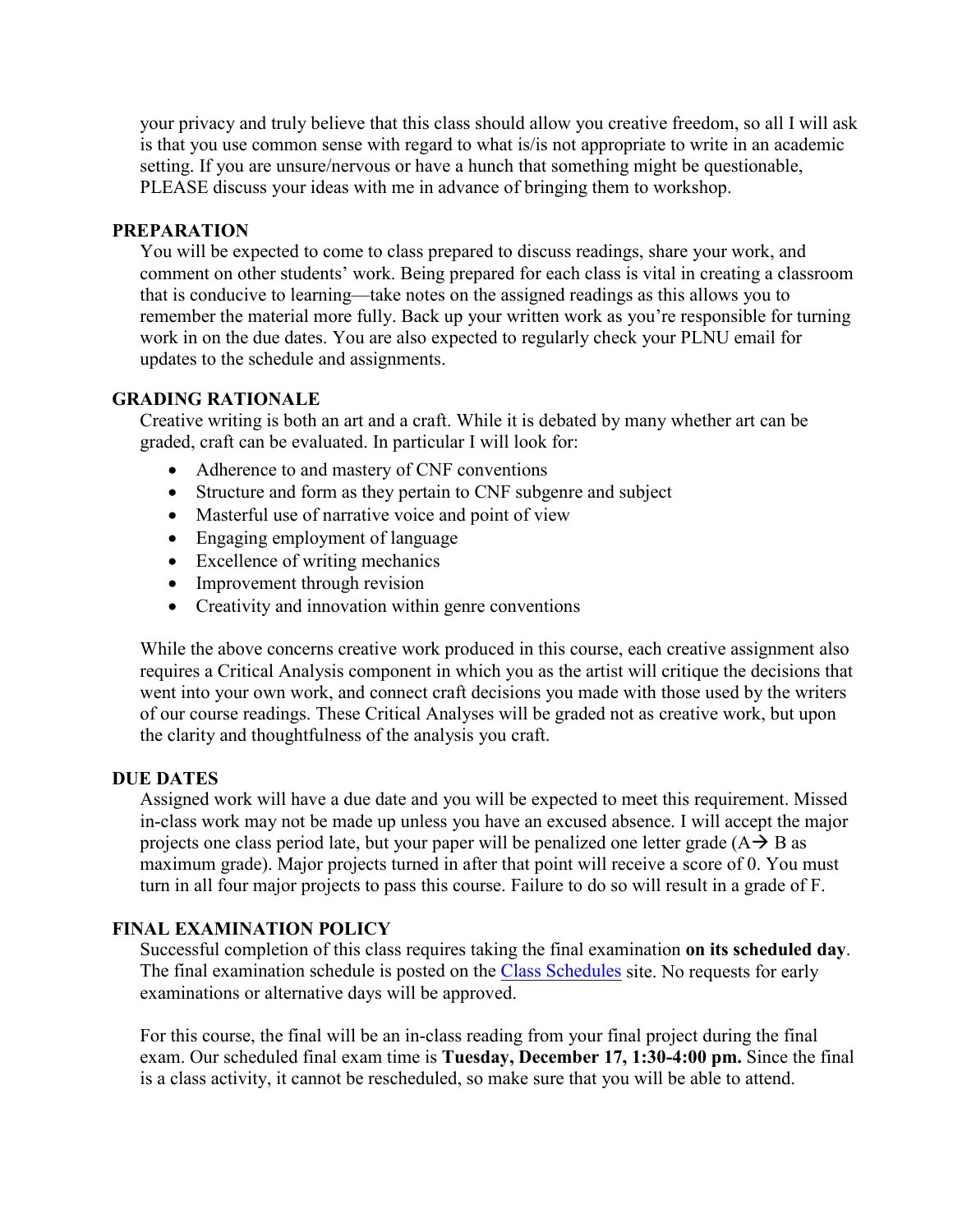your privacy and truly believe that this class should allow you creative freedom, so all I will ask is that you use common sense with regard to what is/is not appropriate to write in an academic setting. If you are unsure/nervous or have a hunch that something might be questionable, PLEASE discuss your ideas with me in advance of bringing them to workshop.

## **PREPARATION**

You will be expected to come to class prepared to discuss readings, share your work, and comment on other students' work. Being prepared for each class is vital in creating a classroom that is conducive to learning—take notes on the assigned readings as this allows you to remember the material more fully. Back up your written work as you're responsible for turning work in on the due dates. You are also expected to regularly check your PLNU email for updates to the schedule and assignments.

## **GRADING RATIONALE**

Creative writing is both an art and a craft. While it is debated by many whether art can be graded, craft can be evaluated. In particular I will look for:

- Adherence to and mastery of CNF conventions
- Structure and form as they pertain to CNF subgenre and subject
- Masterful use of narrative voice and point of view
- Engaging employment of language
- Excellence of writing mechanics
- Improvement through revision
- Creativity and innovation within genre conventions

While the above concerns creative work produced in this course, each creative assignment also requires a Critical Analysis component in which you as the artist will critique the decisions that went into your own work, and connect craft decisions you made with those used by the writers of our course readings. These Critical Analyses will be graded not as creative work, but upon the clarity and thoughtfulness of the analysis you craft.

## **DUE DATES**

Assigned work will have a due date and you will be expected to meet this requirement. Missed in-class work may not be made up unless you have an excused absence. I will accept the major projects one class period late, but your paper will be penalized one letter grade  $(A \rightarrow B$  as maximum grade). Major projects turned in after that point will receive a score of 0. You must turn in all four major projects to pass this course. Failure to do so will result in a grade of F.

## **FINAL EXAMINATION POLICY**

Successful completion of this class requires taking the final examination **on its scheduled day**. The final examination schedule is posted on the [Class Schedules](http://www.pointloma.edu/experience/academics/class-schedules) site. No requests for early examinations or alternative days will be approved.

For this course, the final will be an in-class reading from your final project during the final exam. Our scheduled final exam time is **Tuesday, December 17, 1:30-4:00 pm.** Since the final is a class activity, it cannot be rescheduled, so make sure that you will be able to attend.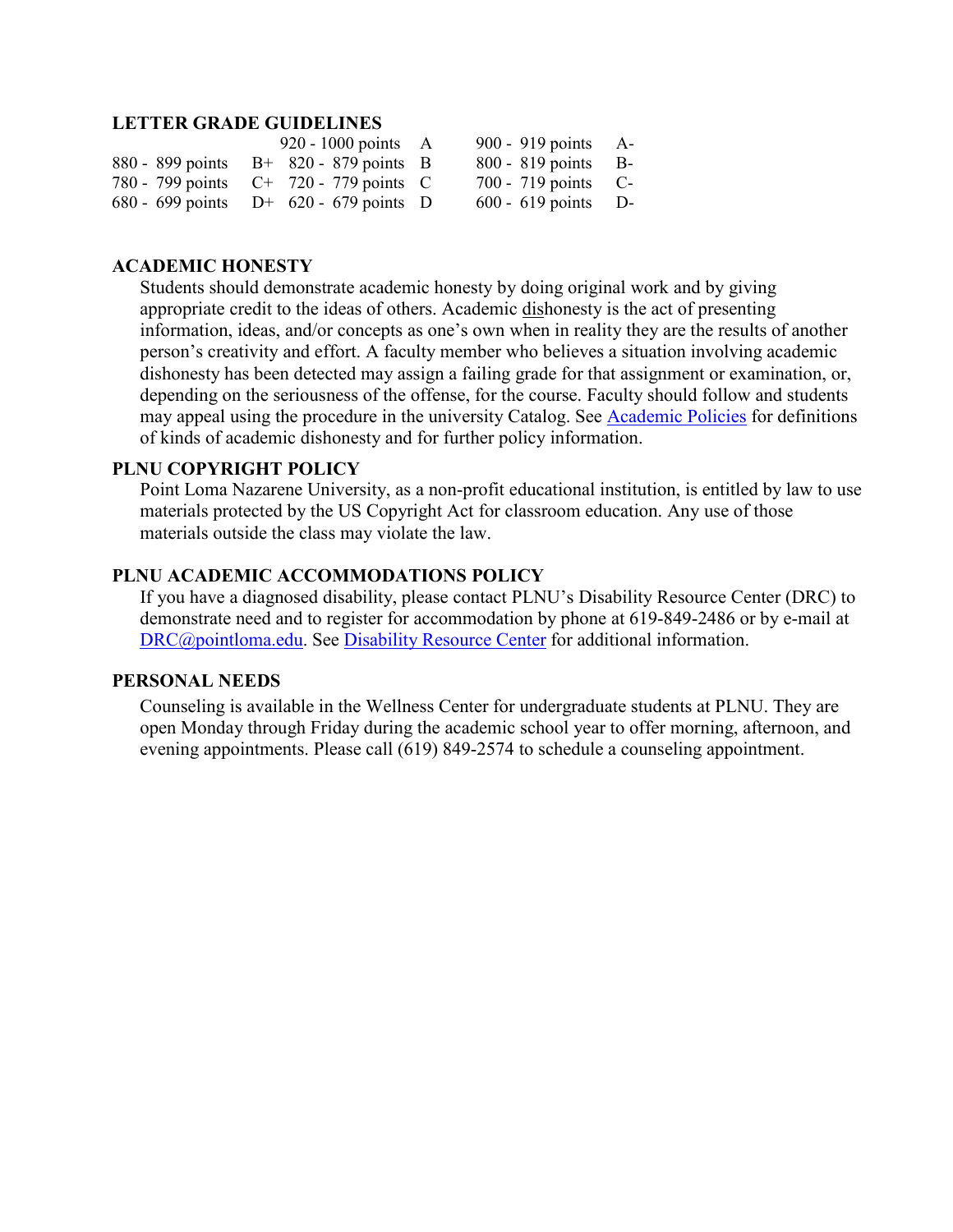#### **LETTER GRADE GUIDELINES**

| 920 - 1000 points $A$                     | 900 - 919 points A-   |  |
|-------------------------------------------|-----------------------|--|
| 880 - 899 points $B+820-879$ points B     | 800 - 819 points B-   |  |
| 780 - 799 points $C^+$ 720 - 779 points C | $700 - 719$ points C- |  |
| 680 - 699 points $D^+$ 620 - 679 points D | $600 - 619$ points D- |  |

## **ACADEMIC HONESTY**

Students should demonstrate academic honesty by doing original work and by giving appropriate credit to the ideas of others. Academic dishonesty is the act of presenting information, ideas, and/or concepts as one's own when in reality they are the results of another person's creativity and effort. A faculty member who believes a situation involving academic dishonesty has been detected may assign a failing grade for that assignment or examination, or, depending on the seriousness of the offense, for the course. Faculty should follow and students may appeal using the procedure in the university Catalog. See **Academic Policies** for definitions of kinds of academic dishonesty and for further policy information.

#### **PLNU COPYRIGHT POLICY**

Point Loma Nazarene University, as a non-profit educational institution, is entitled by law to use materials protected by the US Copyright Act for classroom education. Any use of those materials outside the class may violate the law.

## **PLNU ACADEMIC ACCOMMODATIONS POLICY**

If you have a diagnosed disability, please contact PLNU's Disability Resource Center (DRC) to demonstrate need and to register for accommodation by phone at 619-849-2486 or by e-mail at [DRC@pointloma.edu.](mailto:DRC@pointloma.edu) See [Disability Resource Center](http://www.pointloma.edu/experience/offices/administrative-offices/academic-advising-office/disability-resource-center) for additional information.

#### **PERSONAL NEEDS**

Counseling is available in the Wellness Center for undergraduate students at PLNU. They are open Monday through Friday during the academic school year to offer morning, afternoon, and evening appointments. Please call (619) 849-2574 to schedule a counseling appointment.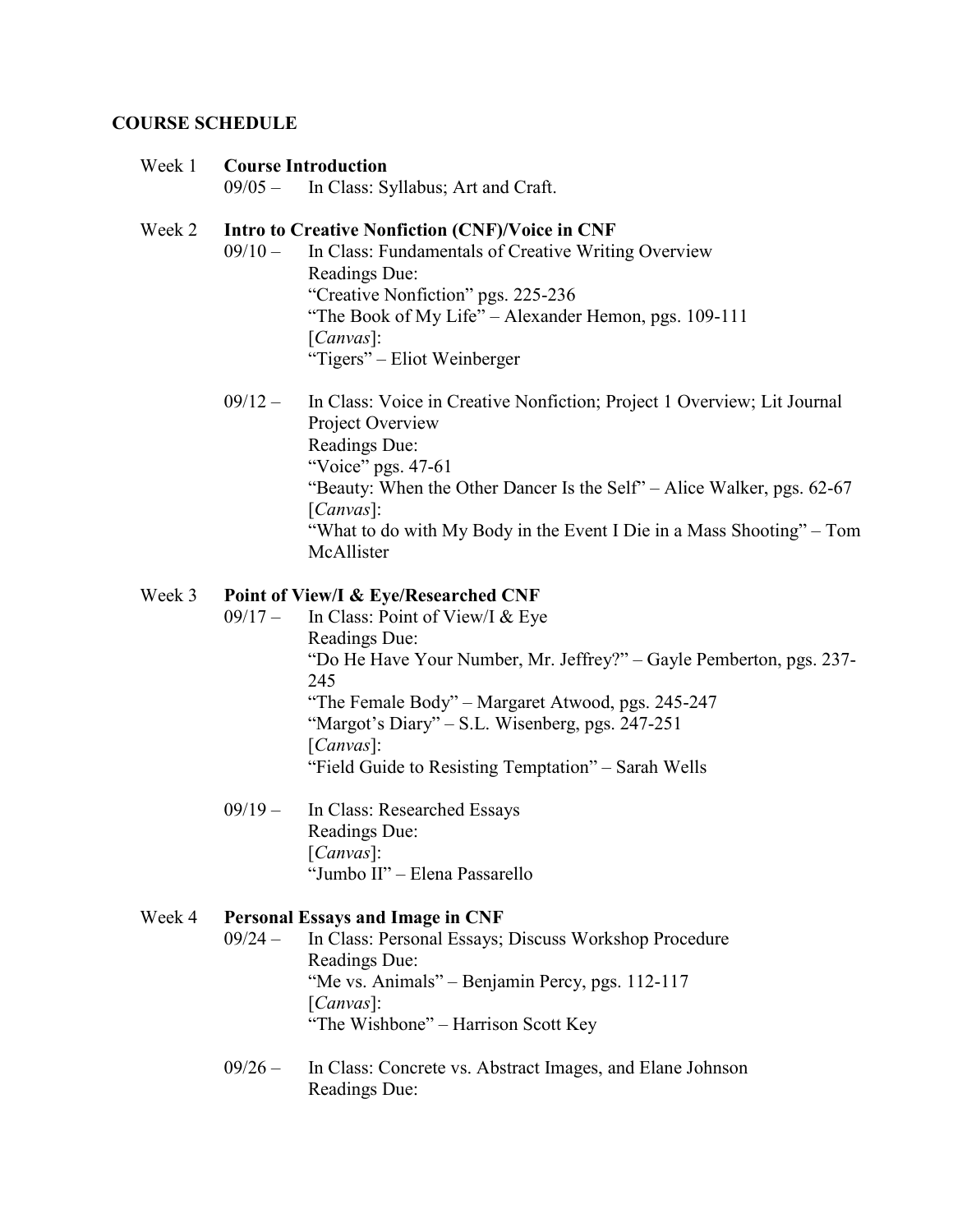#### **COURSE SCHEDULE**

#### Week 1 **Course Introduction**

09/05 – In Class: Syllabus; Art and Craft.

#### Week 2 **Intro to Creative Nonfiction (CNF)/Voice in CNF**

- 09/10 In Class: Fundamentals of Creative Writing Overview Readings Due: "Creative Nonfiction" pgs. 225-236 "The Book of My Life" – Alexander Hemon, pgs. 109-111 [*Canvas*]: "Tigers" – Eliot Weinberger
- 09/12 In Class: Voice in Creative Nonfiction; Project 1 Overview; Lit Journal Project Overview Readings Due: "Voice" pgs. 47-61 "Beauty: When the Other Dancer Is the Self" – Alice Walker, pgs. 62-67 [*Canvas*]: "What to do with My Body in the Event I Die in a Mass Shooting" – Tom McAllister

#### Week 3 **Point of View/I & Eye/Researched CNF**

- 09/17 In Class: Point of View/I & Eye Readings Due: "Do He Have Your Number, Mr. Jeffrey?" – Gayle Pemberton, pgs. 237- 245 "The Female Body" – Margaret Atwood, pgs. 245-247 "Margot's Diary" – S.L. Wisenberg, pgs. 247-251 [*Canvas*]: "Field Guide to Resisting Temptation" – Sarah Wells
- 09/19 In Class: Researched Essays Readings Due: [*Canvas*]: "Jumbo II" – Elena Passarello

#### Week 4 **Personal Essays and Image in CNF**

- 09/24 In Class: Personal Essays; Discuss Workshop Procedure Readings Due: "Me vs. Animals" – Benjamin Percy, pgs. 112-117 [*Canvas*]: "The Wishbone" – Harrison Scott Key
- 09/26 In Class: Concrete vs. Abstract Images, and Elane Johnson Readings Due: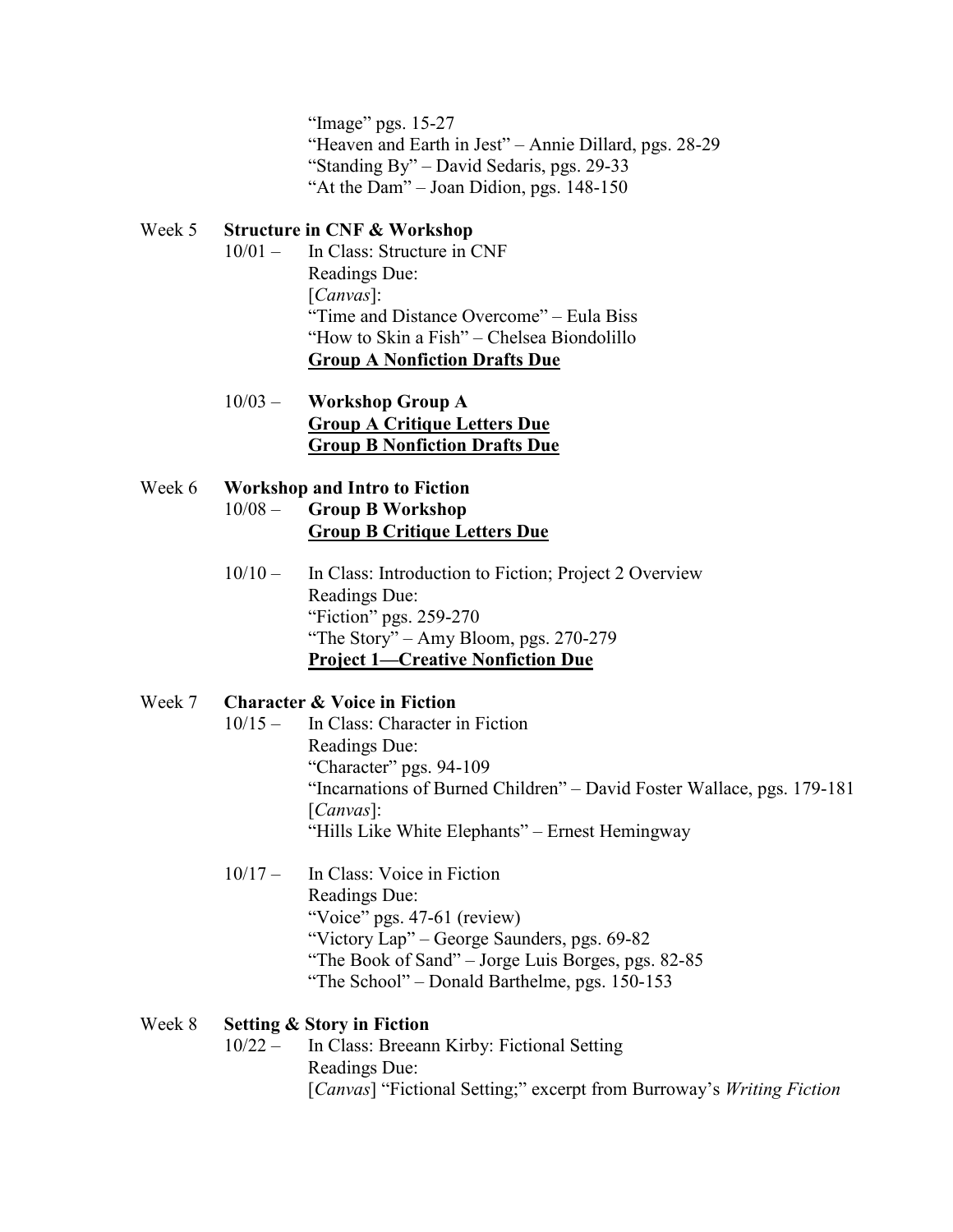"Image" pgs. 15-27 "Heaven and Earth in Jest" – Annie Dillard, pgs. 28-29 "Standing By" – David Sedaris, pgs. 29-33 "At the Dam" – Joan Didion, pgs. 148-150

## Week 5 **Structure in CNF & Workshop**

- 10/01 In Class: Structure in CNF Readings Due: [*Canvas*]: "Time and Distance Overcome" – Eula Biss "How to Skin a Fish" – Chelsea Biondolillo **Group A Nonfiction Drafts Due**
- 10/03 **Workshop Group A Group A Critique Letters Due Group B Nonfiction Drafts Due**

### Week 6 **Workshop and Intro to Fiction**  10/08 – **Group B Workshop Group B Critique Letters Due**

10/10 – In Class: Introduction to Fiction; Project 2 Overview Readings Due: "Fiction" pgs. 259-270 "The Story" – Amy Bloom, pgs. 270-279 **Project 1—Creative Nonfiction Due**

## Week 7 **Character & Voice in Fiction**

- 10/15 In Class: Character in Fiction Readings Due: "Character" pgs. 94-109 "Incarnations of Burned Children" – David Foster Wallace, pgs. 179-181 [*Canvas*]: "Hills Like White Elephants" – Ernest Hemingway
- 10/17 In Class: Voice in Fiction Readings Due: "Voice" pgs. 47-61 (review) "Victory Lap" – George Saunders, pgs. 69-82 "The Book of Sand" – Jorge Luis Borges, pgs. 82-85 "The School" – Donald Barthelme, pgs. 150-153

#### Week 8 **Setting & Story in Fiction**

10/22 – In Class: Breeann Kirby: Fictional Setting Readings Due: [*Canvas*] "Fictional Setting;" excerpt from Burroway's *Writing Fiction*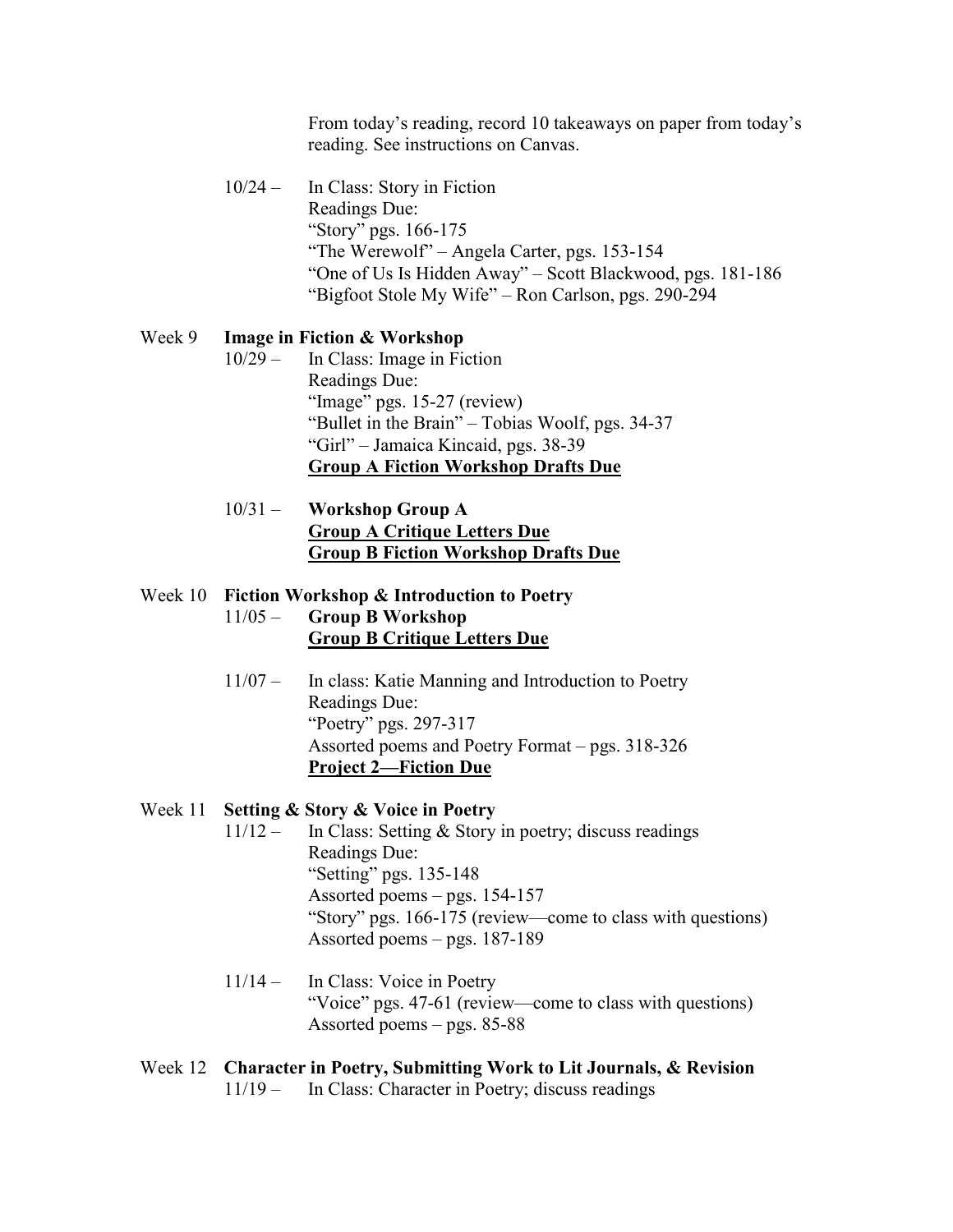From today's reading, record 10 takeaways on paper from today's reading. See instructions on Canvas.

10/24 – In Class: Story in Fiction Readings Due: "Story" pgs. 166-175 "The Werewolf" – Angela Carter, pgs. 153-154 "One of Us Is Hidden Away" – Scott Blackwood, pgs. 181-186 "Bigfoot Stole My Wife" – Ron Carlson, pgs. 290-294

#### Week 9 **Image in Fiction & Workshop**

- 10/29 In Class: Image in Fiction Readings Due: "Image" pgs. 15-27 (review) "Bullet in the Brain" – Tobias Woolf, pgs. 34-37 "Girl" – Jamaica Kincaid, pgs. 38-39 **Group A Fiction Workshop Drafts Due**
- 10/31 **Workshop Group A Group A Critique Letters Due Group B Fiction Workshop Drafts Due**

#### Week 10 **Fiction Workshop & Introduction to Poetry**

- 11/05 **Group B Workshop Group B Critique Letters Due**
- 11/07 In class: Katie Manning and Introduction to Poetry Readings Due: "Poetry" pgs. 297-317 Assorted poems and Poetry Format – pgs. 318-326 **Project 2—Fiction Due**

#### Week 11 **Setting & Story & Voice in Poetry**

- 11/12 In Class: Setting & Story in poetry; discuss readings Readings Due: "Setting" pgs. 135-148 Assorted poems – pgs. 154-157 "Story" pgs. 166-175 (review—come to class with questions) Assorted poems – pgs. 187-189
- 11/14 In Class: Voice in Poetry "Voice" pgs. 47-61 (review—come to class with questions) Assorted poems – pgs. 85-88
- Week 12 **Character in Poetry, Submitting Work to Lit Journals, & Revision** 11/19 – In Class: Character in Poetry; discuss readings